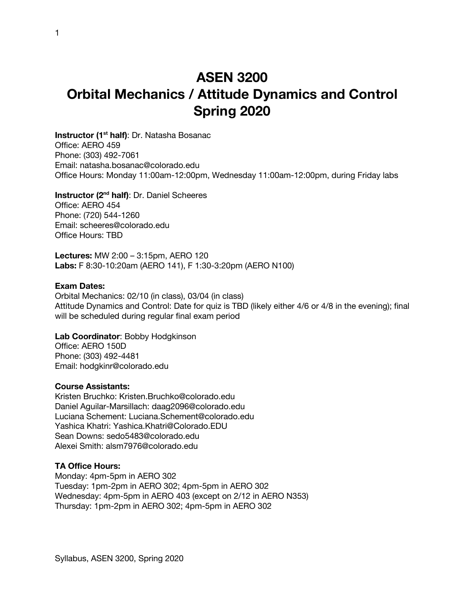# **ASEN 3200 Orbital Mechanics / Attitude Dynamics and Control Spring 2020**

**Instructor (1st half)**: Dr. Natasha Bosanac Office: AERO 459 Phone: (303) 492-7061 Email: natasha.bosanac@colorado.edu Office Hours: Monday 11:00am-12:00pm, Wednesday 11:00am-12:00pm, during Friday labs

**Instructor (2nd half)**: Dr. Daniel Scheeres Office: AERO 454 Phone: (720) 544-1260 Email: scheeres@colorado.edu Office Hours: TBD

**Lectures:** MW 2:00 – 3:15pm, AERO 120 **Labs:** F 8:30-10:20am (AERO 141), F 1:30-3:20pm (AERO N100)

#### **Exam Dates:**

Orbital Mechanics: 02/10 (in class), 03/04 (in class) Attitude Dynamics and Control: Date for quiz is TBD (likely either 4/6 or 4/8 in the evening); final will be scheduled during regular final exam period

#### **Lab Coordinator**: Bobby Hodgkinson

Office: AERO 150D Phone: (303) 492-4481 Email: hodgkinr@colorado.edu

#### **Course Assistants:**

Kristen Bruchko: Kristen.Bruchko@colorado.edu Daniel Aguilar-Marsillach: daag2096@colorado.edu Luciana Schement: Luciana.Schement@colorado.edu Yashica Khatri: Yashica.Khatri@Colorado.EDU Sean Downs: sedo5483@colorado.edu Alexei Smith: alsm7976@colorado.edu

## **TA Office Hours:**

Monday: 4pm-5pm in AERO 302 Tuesday: 1pm-2pm in AERO 302; 4pm-5pm in AERO 302 Wednesday: 4pm-5pm in AERO 403 (except on 2/12 in AERO N353) Thursday: 1pm-2pm in AERO 302; 4pm-5pm in AERO 302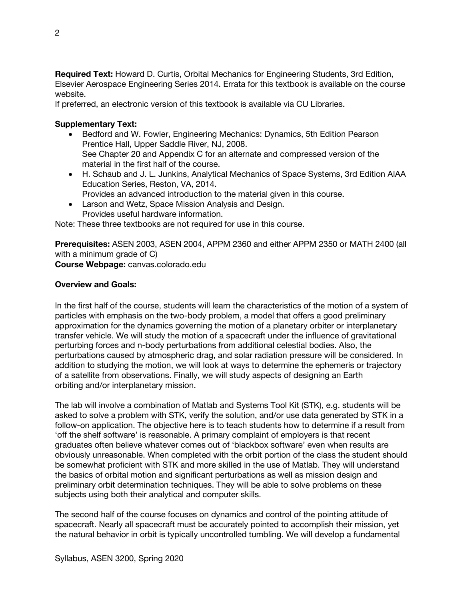**Required Text:** Howard D. Curtis, Orbital Mechanics for Engineering Students, 3rd Edition, Elsevier Aerospace Engineering Series 2014. Errata for this textbook is available on the course website.

If preferred, an electronic version of this textbook is available via CU Libraries.

# **Supplementary Text:**

- Bedford and W. Fowler, Engineering Mechanics: Dynamics, 5th Edition Pearson Prentice Hall, Upper Saddle River, NJ, 2008. See Chapter 20 and Appendix C for an alternate and compressed version of the material in the first half of the course.
- H. Schaub and J. L. Junkins, Analytical Mechanics of Space Systems, 3rd Edition AIAA Education Series, Reston, VA, 2014. Provides an advanced introduction to the material given in this course.
- Larson and Wetz, Space Mission Analysis and Design. Provides useful hardware information.

Note: These three textbooks are not required for use in this course.

**Prerequisites:** ASEN 2003, ASEN 2004, APPM 2360 and either APPM 2350 or MATH 2400 (all with a minimum grade of C) **Course Webpage:** canvas.colorado.edu

## **Overview and Goals:**

In the first half of the course, students will learn the characteristics of the motion of a system of particles with emphasis on the two-body problem, a model that offers a good preliminary approximation for the dynamics governing the motion of a planetary orbiter or interplanetary transfer vehicle. We will study the motion of a spacecraft under the influence of gravitational perturbing forces and n-body perturbations from additional celestial bodies. Also, the perturbations caused by atmospheric drag, and solar radiation pressure will be considered. In addition to studying the motion, we will look at ways to determine the ephemeris or trajectory of a satellite from observations. Finally, we will study aspects of designing an Earth orbiting and/or interplanetary mission.

The lab will involve a combination of Matlab and Systems Tool Kit (STK), e.g. students will be asked to solve a problem with STK, verify the solution, and/or use data generated by STK in a follow-on application. The objective here is to teach students how to determine if a result from 'off the shelf software' is reasonable. A primary complaint of employers is that recent graduates often believe whatever comes out of 'blackbox software' even when results are obviously unreasonable. When completed with the orbit portion of the class the student should be somewhat proficient with STK and more skilled in the use of Matlab. They will understand the basics of orbital motion and significant perturbations as well as mission design and preliminary orbit determination techniques. They will be able to solve problems on these subjects using both their analytical and computer skills.

The second half of the course focuses on dynamics and control of the pointing attitude of spacecraft. Nearly all spacecraft must be accurately pointed to accomplish their mission, yet the natural behavior in orbit is typically uncontrolled tumbling. We will develop a fundamental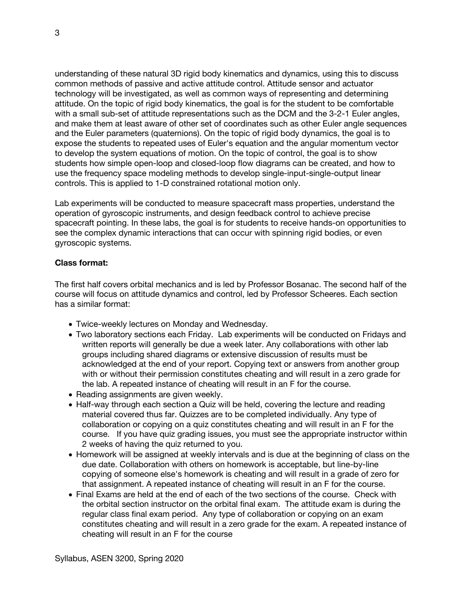understanding of these natural 3D rigid body kinematics and dynamics, using this to discuss common methods of passive and active attitude control. Attitude sensor and actuator technology will be investigated, as well as common ways of representing and determining attitude. On the topic of rigid body kinematics, the goal is for the student to be comfortable with a small sub-set of attitude representations such as the DCM and the 3-2-1 Euler angles, and make them at least aware of other set of coordinates such as other Euler angle sequences and the Euler parameters (quaternions). On the topic of rigid body dynamics, the goal is to expose the students to repeated uses of Euler's equation and the angular momentum vector to develop the system equations of motion. On the topic of control, the goal is to show students how simple open-loop and closed-loop flow diagrams can be created, and how to use the frequency space modeling methods to develop single-input-single-output linear controls. This is applied to 1-D constrained rotational motion only.

Lab experiments will be conducted to measure spacecraft mass properties, understand the operation of gyroscopic instruments, and design feedback control to achieve precise spacecraft pointing. In these labs, the goal is for students to receive hands-on opportunities to see the complex dynamic interactions that can occur with spinning rigid bodies, or even gyroscopic systems.

### **Class format:**

The first half covers orbital mechanics and is led by Professor Bosanac. The second half of the course will focus on attitude dynamics and control, led by Professor Scheeres. Each section has a similar format:

- Twice-weekly lectures on Monday and Wednesday.
- Two laboratory sections each Friday. Lab experiments will be conducted on Fridays and written reports will generally be due a week later. Any collaborations with other lab groups including shared diagrams or extensive discussion of results must be acknowledged at the end of your report. Copying text or answers from another group with or without their permission constitutes cheating and will result in a zero grade for the lab. A repeated instance of cheating will result in an F for the course.
- Reading assignments are given weekly.
- Half-way through each section a Quiz will be held, covering the lecture and reading material covered thus far. Quizzes are to be completed individually. Any type of collaboration or copying on a quiz constitutes cheating and will result in an F for the course. If you have quiz grading issues, you must see the appropriate instructor within 2 weeks of having the quiz returned to you.
- Homework will be assigned at weekly intervals and is due at the beginning of class on the due date. Collaboration with others on homework is acceptable, but line-by-line copying of someone else's homework is cheating and will result in a grade of zero for that assignment. A repeated instance of cheating will result in an F for the course.
- Final Exams are held at the end of each of the two sections of the course. Check with the orbital section instructor on the orbital final exam. The attitude exam is during the regular class final exam period. Any type of collaboration or copying on an exam constitutes cheating and will result in a zero grade for the exam. A repeated instance of cheating will result in an F for the course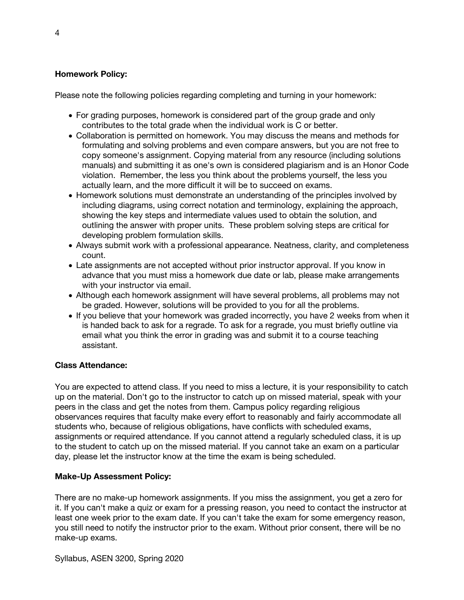## **Homework Policy:**

Please note the following policies regarding completing and turning in your homework:

- For grading purposes, homework is considered part of the group grade and only contributes to the total grade when the individual work is C or better.
- Collaboration is permitted on homework. You may discuss the means and methods for formulating and solving problems and even compare answers, but you are not free to copy someone's assignment. Copying material from any resource (including solutions manuals) and submitting it as one's own is considered plagiarism and is an Honor Code violation. Remember, the less you think about the problems yourself, the less you actually learn, and the more difficult it will be to succeed on exams.
- Homework solutions must demonstrate an understanding of the principles involved by including diagrams, using correct notation and terminology, explaining the approach, showing the key steps and intermediate values used to obtain the solution, and outlining the answer with proper units. These problem solving steps are critical for developing problem formulation skills.
- Always submit work with a professional appearance. Neatness, clarity, and completeness count.
- Late assignments are not accepted without prior instructor approval. If you know in advance that you must miss a homework due date or lab, please make arrangements with your instructor via email.
- Although each homework assignment will have several problems, all problems may not be graded. However, solutions will be provided to you for all the problems.
- If you believe that your homework was graded incorrectly, you have 2 weeks from when it is handed back to ask for a regrade. To ask for a regrade, you must briefly outline via email what you think the error in grading was and submit it to a course teaching assistant.

## **Class Attendance:**

You are expected to attend class. If you need to miss a lecture, it is your responsibility to catch up on the material. Don't go to the instructor to catch up on missed material, speak with your peers in the class and get the notes from them. Campus policy regarding religious observances requires that faculty make every effort to reasonably and fairly accommodate all students who, because of religious obligations, have conflicts with scheduled exams, assignments or required attendance. If you cannot attend a regularly scheduled class, it is up to the student to catch up on the missed material. If you cannot take an exam on a particular day, please let the instructor know at the time the exam is being scheduled.

# **Make-Up Assessment Policy:**

There are no make-up homework assignments. If you miss the assignment, you get a zero for it. If you can't make a quiz or exam for a pressing reason, you need to contact the instructor at least one week prior to the exam date. If you can't take the exam for some emergency reason, you still need to notify the instructor prior to the exam. Without prior consent, there will be no make-up exams.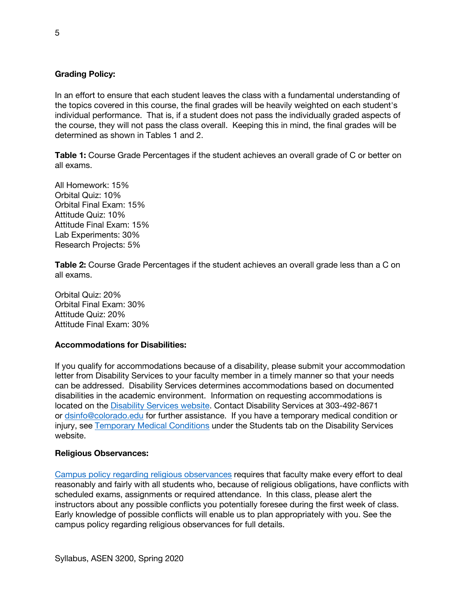### **Grading Policy:**

In an effort to ensure that each student leaves the class with a fundamental understanding of the topics covered in this course, the final grades will be heavily weighted on each student's individual performance. That is, if a student does not pass the individually graded aspects of the course, they will not pass the class overall. Keeping this in mind, the final grades will be determined as shown in Tables 1 and 2.

**Table 1:** Course Grade Percentages if the student achieves an overall grade of C or better on all exams.

All Homework: 15% Orbital Quiz: 10% Orbital Final Exam: 15% Attitude Quiz: 10% Attitude Final Exam: 15% Lab Experiments: 30% Research Projects: 5%

**Table 2:** Course Grade Percentages if the student achieves an overall grade less than a C on all exams.

Orbital Quiz: 20% Orbital Final Exam: 30% Attitude Quiz: 20% Attitude Final Exam: 30%

#### **Accommodations for Disabilities:**

If you qualify for accommodations because of a disability, please submit your accommodation letter from Disability Services to your faculty member in a timely manner so that your needs can be addressed. Disability Services determines accommodations based on documented disabilities in the academic environment. Information on requesting accommodations is located on the Disability Services website. Contact Disability Services at 303-492-8671 or dsinfo@colorado.edu for further assistance. If you have a temporary medical condition or injury, see Temporary Medical Conditions under the Students tab on the Disability Services website.

#### **Religious Observances:**

Campus policy regarding religious observances requires that faculty make every effort to deal reasonably and fairly with all students who, because of religious obligations, have conflicts with scheduled exams, assignments or required attendance. In this class, please alert the instructors about any possible conflicts you potentially foresee during the first week of class. Early knowledge of possible conflicts will enable us to plan appropriately with you. See the campus policy regarding religious observances for full details.